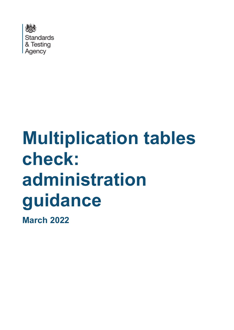

# **Multiplication tables check: administration guidance**

**March 2022**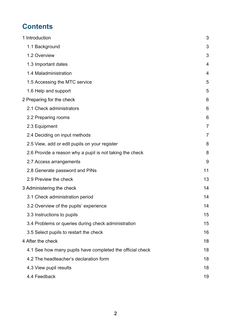# **Contents**

| 1 Introduction                                            | 3              |
|-----------------------------------------------------------|----------------|
| 1.1 Background                                            | 3              |
| 1.2 Overview                                              | 3              |
| 1.3 Important dates                                       | 4              |
| 1.4 Maladministration                                     | 4              |
| 1.5 Accessing the MTC service                             | 5              |
| 1.6 Help and support                                      | 5              |
| 2 Preparing for the check                                 | 6              |
| 2.1 Check administrators                                  | 6              |
| 2.2 Preparing rooms                                       | 6              |
| 2.3 Equipment                                             | $\overline{7}$ |
| 2.4 Deciding on input methods                             | $\overline{7}$ |
| 2.5 View, add or edit pupils on your register             | 8              |
| 2.6 Provide a reason why a pupil is not taking the check  | 8              |
| 2.7 Access arrangements                                   | 9              |
| 2.8 Generate password and PINs                            | 11             |
| 2.9 Preview the check                                     | 13             |
| 3 Administering the check                                 | 14             |
| 3.1 Check administration period                           | 14             |
| 3.2 Overview of the pupils' experience                    | 14             |
| 3.3 Instructions to pupils                                | 15             |
| 3.4 Problems or queries during check administration       | 15             |
| 3.5 Select pupils to restart the check                    | 16             |
| 4 After the check                                         | 18             |
| 4.1 See how many pupils have completed the official check | 18             |
| 4.2 The headteacher's declaration form                    | 18             |
| 4.3 View pupil results                                    | 18             |
| 4.4 Feedback                                              | 19             |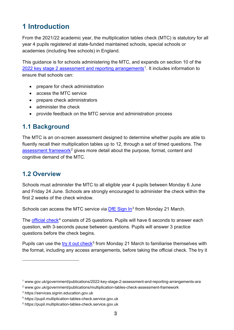# <span id="page-2-0"></span>**1 Introduction**

From the 2021/22 academic year, the multiplication tables check (MTC) is statutory for all year 4 pupils registered at state-funded maintained schools, special schools or academies (including free schools) in England.

This guidance is for schools administering the MTC, and expands on section 10 of the [2022 key stage 2 assessment and reporting arrangements](https://www.gov.uk/government/publications/2022-key-stage-2-assessment-and-reporting-arrangements-ara)<sup>1</sup>. It includes information to ensure that schools can:

- prepare for check administration
- access the MTC service
- prepare check administrators
- administer the check
- provide feedback on the MTC service and administration process

## <span id="page-2-1"></span>**1.1 Background**

The MTC is an on-screen assessment designed to determine whether pupils are able to fluently recall their multiplication tables up to 12, through a set of timed questions. The [assessment framework](https://www.gov.uk/government/publications/multiplication-tables-check-assessment-framework)<sup>[2](#page-2-4)</sup> gives more detail about the purpose, format, content and cognitive demand of the MTC.

## <span id="page-2-2"></span>**1.2 Overview**

Schools must administer the MTC to all eligible year 4 pupils between Monday 6 June and Friday 24 June. Schools are strongly encouraged to administer the check within the first 2 weeks of the check window.

Schools can access the MTC service via [DfE Sign In](https://services.signin.education.gov.uk/)<sup>[3](#page-2-5)</sup> from Monday 21 March.

The [official check](https://pupil.multiplication-tables-check.service.gov.uk/)<sup>[4](#page-2-6)</sup> consists of 25 questions. Pupils will have 6 seconds to answer each question, with 3-seconds pause between questions. Pupils will answer 3 practice questions before the check begins.

Pupils can use the [try it out check](https://pupil.multiplication-tables-check.service.gov.uk/)<sup>[5](#page-2-7)</sup> from Monday 21 March to familiarise themselves with the format, including any access arrangements, before taking the official check. The try it

<span id="page-2-3"></span><sup>1</sup> www.gov.uk/government/publications/2022-key-stage-2-assessment-and-reporting-arrangements-ara

<span id="page-2-4"></span><sup>2</sup> www.gov.uk/government/publications/multiplication-tables-check-assessment-framework

<span id="page-2-5"></span><sup>3</sup> https://services.signin.education.gov.uk

<span id="page-2-6"></span><sup>4</sup> https://pupil.multiplication-tables-check.service.gov.uk

<span id="page-2-7"></span><sup>5</sup> https://pupil.multiplication-tables-check.service.gov.uk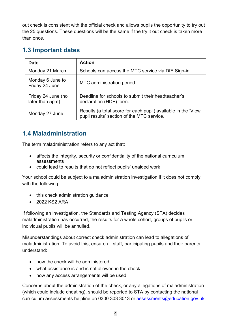out check is consistent with the official check and allows pupils the opportunity to try out the 25 questions. These questions will be the same if the try it out check is taken more than once.

# <span id="page-3-0"></span>**1.3 Important dates**

| <b>Date</b>                           | <b>Action</b>                                                                                               |
|---------------------------------------|-------------------------------------------------------------------------------------------------------------|
| Monday 21 March                       | Schools can access the MTC service via DfE Sign-in.                                                         |
| Monday 6 June to<br>Friday 24 June    | MTC administration period.                                                                                  |
| Friday 24 June (no<br>later than 5pm) | Deadline for schools to submit their headteacher's<br>declaration (HDF) form.                               |
| Monday 27 June                        | Results (a total score for each pupil) available in the 'View<br>pupil results' section of the MTC service. |

# <span id="page-3-1"></span>**1.4 Maladministration**

The term maladministration refers to any act that:

- affects the integrity, security or confidentiality of the national curriculum assessments
- could lead to results that do not reflect pupils' unaided work

Your school could be subject to a maladministration investigation if it does not comply with the following:

- this check administration guidance
- 2022 KS2 ARA

If following an investigation, the Standards and Testing Agency (STA) decides maladministration has occurred, the results for a whole cohort, groups of pupils or individual pupils will be annulled.

Misunderstandings about correct check administration can lead to allegations of maladministration. To avoid this, ensure all staff, participating pupils and their parents understand:

- how the check will be administered
- what assistance is and is not allowed in the check
- how any access arrangements will be used

Concerns about the administration of the check, or any allegations of maladministration (which could include cheating), should be reported to STA by contacting the national curriculum assessments helpline on 0300 303 3013 or [assessments@education.gov.uk.](mailto:assessments@education.gov.uk)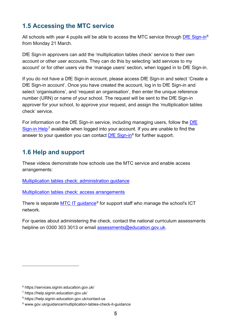# <span id="page-4-0"></span>**1.5 Accessing the MTC service**

All schools with year 4 pupils will be able to access the MTC service through [DfE Sign-in](https://services.signin.education.gov.uk/)<sup>[6](#page-4-2)</sup> from Monday 21 March.

DfE Sign-in approvers can add the 'multiplication tables check' service to their own account or other user accounts. They can do this by selecting 'add services to my account' or for other users via the 'manage users' section, when logged in to DfE Sign-in.

If you do not have a DfE Sign-in account, please access DfE Sign-in and select 'Create a DfE Sign-in account'. Once you have created the account, log in to DfE Sign-in and select 'organisations', and 'request an organisation', then enter the unique reference number (URN) or name of your school. The request will be sent to the DfE Sign-in approver for your school, to approve your request, and assign the 'multiplication tables check' service.

For information on the DfE Sign-in service, including managing users, follow the [DfE](https://interactions.signin.education.gov.uk/e6a970d9-3dcf-474d-9ce7-1e92fd7544ab/usernamepassword?clientid=help&redirect_uri=https://help.signin.education.gov.uk:443/auth/cb)  [Sign-in Help](https://interactions.signin.education.gov.uk/e6a970d9-3dcf-474d-9ce7-1e92fd7544ab/usernamepassword?clientid=help&redirect_uri=https://help.signin.education.gov.uk:443/auth/cb)<sup>[7](#page-4-3)</sup> available when logged into your account. If you are unable to find the answer to your question you can contact [DfE Sign-in](https://help.signin.education.gov.uk/contact-us)<sup>[8](#page-4-4)</sup> for further support.

# <span id="page-4-1"></span>**1.6 Help and support**

These videos demonstrate how schools use the MTC service and enable access arrangements:

[Multiplication tables check: administration guidance](https://www.youtube.com/watch?v=QN8koK9_ifM)

[Multiplication tables check: access arrangements](https://www.youtube.com/watch?v=EOj3ZPv2mqQ)

There is separate [MTC IT guidance](https://www.gov.uk/guidance/multiplication-tables-check-it-guidance)<sup>[9](#page-4-5)</sup> for support staff who manage the school's ICT network.

For queries about administering the check, contact the national curriculum assessments helpline on 0300 303 3013 or email [assessments@education.gov.uk.](mailto:assessments@education.gov.uk)

<span id="page-4-2"></span><sup>6</sup> https://services.signin.education.gov.uk/

<span id="page-4-3"></span><sup>7</sup> https://help.signin.education.gov.uk/

<span id="page-4-4"></span><sup>8</sup> https://help.signin.education.gov.uk/contact-us

<span id="page-4-5"></span><sup>9</sup> www.gov.uk/guidance/multiplication-tables-check-it-guidance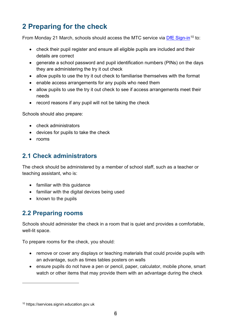# <span id="page-5-0"></span>**2 Preparing for the check**

From Monday 21 March, schools should access the MTC service via [DfE Sign-in](https://services.signin.education.gov.uk/)<sup>[10](#page-5-3)</sup> to:

- check their pupil register and ensure all eligible pupils are included and their details are correct
- generate a school password and pupil identification numbers (PINs) on the days they are administering the try it out check
- allow pupils to use the try it out check to familiarise themselves with the format
- enable access arrangements for any pupils who need them
- allow pupils to use the try it out check to see if access arrangements meet their needs
- record reasons if any pupil will not be taking the check

Schools should also prepare:

- check administrators
- devices for pupils to take the check
- rooms

# <span id="page-5-1"></span>**2.1 Check administrators**

The check should be administered by a member of school staff, such as a teacher or teaching assistant, who is:

- familiar with this guidance
- familiar with the digital devices being used
- known to the pupils

## <span id="page-5-2"></span>**2.2 Preparing rooms**

Schools should administer the check in a room that is quiet and provides a comfortable, well-lit space.

To prepare rooms for the check, you should:

- remove or cover any displays or teaching materials that could provide pupils with an advantage, such as times tables posters on walls
- ensure pupils do not have a pen or pencil, paper, calculator, mobile phone, smart watch or other items that may provide them with an advantage during the check

<span id="page-5-3"></span><sup>10</sup> https://services.signin.education.gov.uk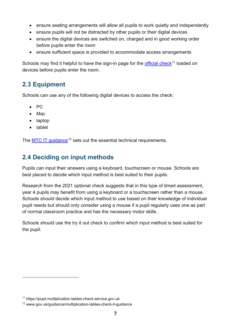- ensure seating arrangements will allow all pupils to work quietly and independently
- ensure pupils will not be distracted by other pupils or their digital devices
- ensure the digital devices are switched on, charged and in good working order before pupils enter the room
- ensure sufficient space is provided to accommodate access arrangements

Schools may find it helpful to have the sign-in page for the [official](https://pupil.multiplication-tables-check.service.gov.uk/) check<sup>[11](#page-6-2)</sup> loaded on devices before pupils enter the room.

# <span id="page-6-0"></span>**2.3 Equipment**

Schools can use any of the following digital devices to access the check:

- PC
- Mac
- laptop
- tablet

The MTC IT quidance<sup>[12](#page-6-3)</sup> sets out the essential technical requirements.

# <span id="page-6-1"></span>**2.4 Deciding on input methods**

Pupils can input their answers using a keyboard, touchscreen or mouse. Schools are best placed to decide which input method is best suited to their pupils.

Research from the 2021 optional check suggests that in this type of timed assessment, year 4 pupils may benefit from using a keyboard or a touchscreen rather than a mouse. Schools should decide which input method to use based on their knowledge of individual pupil needs but should only consider using a mouse if a pupil regularly uses one as part of normal classroom practice and has the necessary motor skills.

Schools should use the try it out check to confirm which input method is best suited for the pupil.

<span id="page-6-2"></span><sup>11</sup> https://pupil.multiplication-tables-check.service.gov.uk

<span id="page-6-3"></span><sup>12</sup> www.gov.uk/guidance/multiplication-tables-check-it-guidance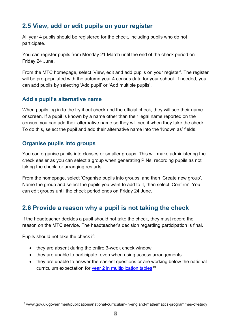# <span id="page-7-0"></span>**2.5 View, add or edit pupils on your register**

All year 4 pupils should be registered for the check, including pupils who do not participate.

You can register pupils from Monday 21 March until the end of the check period on Friday 24 June.

From the MTC homepage, select 'View, edit and add pupils on your register'. The register will be pre-populated with the autumn year 4 census data for your school. If needed, you can add pupils by selecting 'Add pupil' or 'Add multiple pupils'.

## **Add a pupil's alternative name**

When pupils log in to the try it out check and the official check, they will see their name onscreen. If a pupil is known by a name other than their legal name reported on the census, you can add their alternative name so they will see it when they take the check. To do this, select the pupil and add their alternative name into the 'Known as' fields.

## **Organise pupils into groups**

You can organise pupils into classes or smaller groups. This will make administering the check easier as you can select a group when generating PINs, recording pupils as not taking the check, or arranging restarts.

From the homepage, select 'Organise pupils into groups' and then 'Create new group'. Name the group and select the pupils you want to add to it, then select 'Confirm'. You can edit groups until the check period ends on Friday 24 June.

# <span id="page-7-1"></span>**2.6 Provide a reason why a pupil is not taking the check**

If the headteacher decides a pupil should not take the check, they must record the reason on the MTC service. The headteacher's decision regarding participation is final.

Pupils should not take the check if:

- they are absent during the entire 3-week check window
- they are unable to participate, even when using access arrangements
- they are unable to answer the easiest questions or are working below the national curriculum expectation for [year 2 in multiplication tables](https://www.gov.uk/government/publications/national-curriculum-in-england-mathematics-programmes-of-study)<sup>[13](#page-7-2)</sup>

<span id="page-7-2"></span><sup>13</sup> www.gov.uk/government/publications/national-curriculum-in-england-mathematics-programmes-of-study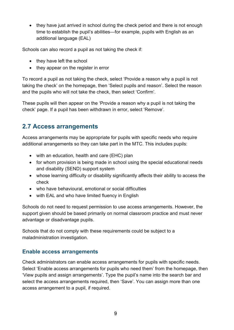• they have just arrived in school during the check period and there is not enough time to establish the pupil's abilities—for example, pupils with English as an additional language (EAL)

Schools can also record a pupil as not taking the check if:

- they have left the school
- they appear on the register in error

To record a pupil as not taking the check, select 'Provide a reason why a pupil is not taking the check' on the homepage, then 'Select pupils and reason'. Select the reason and the pupils who will not take the check, then select 'Confirm'.

These pupils will then appear on the 'Provide a reason why a pupil is not taking the check' page. If a pupil has been withdrawn in error, select 'Remove'.

## <span id="page-8-0"></span>**2.7 Access arrangements**

Access arrangements may be appropriate for pupils with specific needs who require additional arrangements so they can take part in the MTC. This includes pupils:

- with an education, health and care (EHC) plan
- for whom provision is being made in school using the special educational needs and disability (SEND) support system
- whose learning difficulty or disability significantly affects their ability to access the check
- who have behavioural, emotional or social difficulties
- with EAL and who have limited fluency in English

Schools do not need to request permission to use access arrangements. However, the support given should be based primarily on normal classroom practice and must never advantage or disadvantage pupils.

Schools that do not comply with these requirements could be subject to a maladministration investigation.

#### **Enable access arrangements**

Check administrators can enable access arrangements for pupils with specific needs. Select 'Enable access arrangements for pupils who need them' from the homepage, then 'View pupils and assign arrangements'. Type the pupil's name into the search bar and select the access arrangements required, then 'Save'. You can assign more than one access arrangement to a pupil, if required.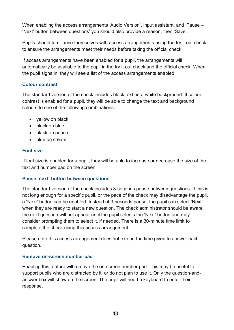When enabling the access arrangements 'Audio Version', input assistant, and 'Pause – 'Next' button between questions' you should also provide a reason, then 'Save'.

Pupils should familiarise themselves with access arrangements using the try it out check to ensure the arrangements meet their needs before taking the official check.

If access arrangements have been enabled for a pupil, the arrangements will automatically be available to the pupil in the try it out check and the official check. When the pupil signs in, they will see a list of the access arrangements enabled.

#### **Colour contrast**

The standard version of the check includes black text on a white background. If colour contrast is enabled for a pupil, they will be able to change the text and background colours to one of the following combinations:

- vellow on black
- black on blue
- black on peach
- blue on cream

#### **Font size**

If font size is enabled for a pupil, they will be able to increase or decrease the size of the text and number pad on the screen.

#### **Pause 'next' button between questions**

The standard version of the check includes 3-seconds pause between questions. If this is not long enough for a specific pupil, or the pace of the check may disadvantage the pupil, a 'Next' button can be enabled. Instead of 3-seconds pause, the pupil can select 'Next' when they are ready to start a new question. The check administrator should be aware the next question will not appear until the pupil selects the 'Next' button and may consider prompting them to select it, if needed. There is a 30-minute time limit to complete the check using this access arrangement.

Please note this access arrangement does not extend the time given to answer each question.

#### **Remove on-screen number pad**

Enabling this feature will remove the on-screen number pad. This may be useful to support pupils who are distracted by it, or do not plan to use it. Only the question-andanswer box will show on the screen. The pupil will need a keyboard to enter their response.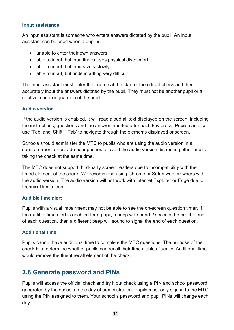#### **Input assistance**

An input assistant is someone who enters answers dictated by the pupil. An input assistant can be used when a pupil is:

- unable to enter their own answers
- able to input, but inputting causes physical discomfort
- able to input, but inputs very slowly
- able to input, but finds inputting very difficult

The input assistant must enter their name at the start of the official check and then accurately input the answers dictated by the pupil. They must not be another pupil or a relative, carer or guardian of the pupil.

#### **Audio version**

If the audio version is enabled, it will read aloud all text displayed on the screen, including the instructions, questions and the answer inputted after each key press. Pupils can also use 'Tab' and 'Shift + Tab' to navigate through the elements displayed onscreen.

Schools should administer the MTC to pupils who are using the audio version in a separate room or provide headphones to avoid the audio version distracting other pupils taking the check at the same time.

The MTC does not support third-party screen readers due to incompatibility with the timed element of the check. We recommend using Chrome or Safari web browsers with the audio version. The audio version will not work with Internet Explorer or Edge due to technical limitations.

#### **Audible time alert**

Pupils with a visual impairment may not be able to see the on-screen question timer. If the audible time alert is enabled for a pupil, a beep will sound 2 seconds before the end of each question, then a different beep will sound to signal the end of each question.

#### **Additional time**

Pupils cannot have additional time to complete the MTC questions. The purpose of the check is to determine whether pupils can recall their times tables fluently. Additional time would remove the fluent recall element of the check.

## <span id="page-10-0"></span>**2.8 Generate password and PINs**

Pupils will access the official check and try it out check using a PIN and school password, generated by the school on the day of administration. Pupils must only sign in to the MTC using the PIN assigned to them. Your school's password and pupil PINs will change each day.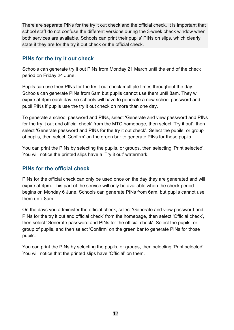There are separate PINs for the try it out check and the official check. It is important that school staff do not confuse the different versions during the 3-week check window when both services are available. Schools can print their pupils' PINs on slips, which clearly state if they are for the try it out check or the official check.

## **PINs for the try it out check**

Schools can generate try it out PINs from Monday 21 March until the end of the check period on Friday 24 June.

Pupils can use their PINs for the try it out check multiple times throughout the day. Schools can generate PINs from 6am but pupils cannot use them until 8am. They will expire at 4pm each day, so schools will have to generate a new school password and pupil PINs if pupils use the try it out check on more than one day.

To generate a school password and PINs, select 'Generate and view password and PINs for the try it out and official check' from the MTC homepage, then select 'Try it out', then select 'Generate password and PINs for the try it out check'. Select the pupils, or group of pupils, then select 'Confirm' on the green bar to generate PINs for those pupils.

You can print the PINs by selecting the pupils, or groups, then selecting 'Print selected'. You will notice the printed slips have a 'Try it out' watermark.

## **PINs for the official check**

PINs for the official check can only be used once on the day they are generated and will expire at 4pm. This part of the service will only be available when the check period begins on Monday 6 June. Schools can generate PINs from 6am, but pupils cannot use them until 8am.

On the days you administer the official check, select 'Generate and view password and PINs for the try it out and official check' from the homepage, then select 'Official check', then select 'Generate password and PINs for the official check'. Select the pupils, or group of pupils, and then select 'Confirm' on the green bar to generate PINs for those pupils.

You can print the PINs by selecting the pupils, or groups, then selecting 'Print selected'. You will notice that the printed slips have 'Official' on them.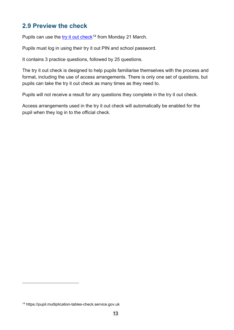## <span id="page-12-0"></span>**2.9 Preview the check**

Pupils can use the [try it out](https://pupil.multiplication-tables-check.service.gov.uk/) check<sup>[14](#page-12-1)</sup> from Monday 21 March.

Pupils must log in using their try it out PIN and school password.

It contains 3 practice questions, followed by 25 questions.

The try it out check is designed to help pupils familiarise themselves with the process and format, including the use of access arrangements. There is only one set of questions, but pupils can take the try it out check as many times as they need to.

Pupils will not receive a result for any questions they complete in the try it out check.

Access arrangements used in the try it out check will automatically be enabled for the pupil when they log in to the official check.

<span id="page-12-1"></span><sup>14</sup> https://pupil.multiplication-tables-check.service.gov.uk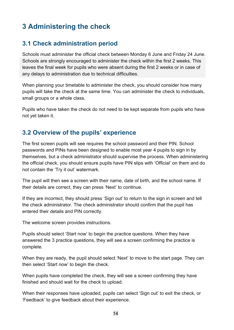# <span id="page-13-0"></span>**3 Administering the check**

# <span id="page-13-1"></span>**3.1 Check administration period**

Schools must administer the official check between Monday 6 June and Friday 24 June. Schools are strongly encouraged to administer the check within the first 2 weeks. This leaves the final week for pupils who were absent during the first 2 weeks or in case of any delays to administration due to technical difficulties.

When planning your timetable to administer the check, you should consider how many pupils will take the check at the same time. You can administer the check to individuals, small groups or a whole class.

Pupils who have taken the check do not need to be kept separate from pupils who have not yet taken it.

## <span id="page-13-2"></span>**3.2 Overview of the pupils' experience**

The first screen pupils will see requires the school password and their PIN. School passwords and PINs have been designed to enable most year 4 pupils to sign in by themselves, but a check administrator should supervise the process. When administering the official check, you should ensure pupils have PIN slips with 'Official' on them and do not contain the 'Try it out' watermark.

The pupil will then see a screen with their name, date of birth, and the school name. If their details are correct, they can press 'Next' to continue.

If they are incorrect, they should press 'Sign out' to return to the sign in screen and tell the check administrator. The check administrator should confirm that the pupil has entered their details and PIN correctly.

The welcome screen provides instructions.

Pupils should select 'Start now' to begin the practice questions. When they have answered the 3 practice questions, they will see a screen confirming the practice is complete.

When they are ready, the pupil should select 'Next' to move to the start page. They can then select 'Start now' to begin the check.

When pupils have completed the check, they will see a screen confirming they have finished and should wait for the check to upload.

When their responses have uploaded, pupils can select 'Sign out' to exit the check, or 'Feedback' to give feedback about their experience.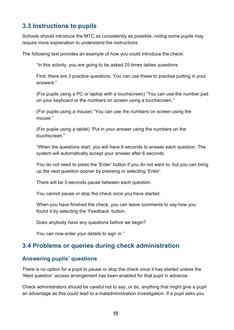# <span id="page-14-0"></span>**3.3 Instructions to pupils**

Schools should introduce the MTC as consistently as possible, noting some pupils may require more explanation to understand the instructions.

The following text provides an example of how you could introduce the check:

"In this activity, you are going to be asked 25 times tables questions.

First, there are 3 practice questions. You can use these to practise putting in your answers."

(For pupils using a PC or laptop with a touchscreen) "You can use the number pad on your keyboard or the numbers on screen using a touchscreen."

(For pupils using a mouse) "You can use the numbers on screen using the mouse."

(For pupils using a tablet) "Put in your answer using the numbers on the touchscreen."

"When the questions start, you will have 6 seconds to answer each question. The system will automatically accept your answer after 6 seconds.

You do not need to press the 'Enter' button if you do not want to, but you can bring up the next question sooner by pressing or selecting 'Enter'.

There will be 3-seconds pause between each question.

You cannot pause or stop the check once you have started.

When you have finished the check, you can leave comments to say how you found it by selecting the 'Feedback' button.

Does anybody have any questions before we begin?

You can now enter your details to sign in."

## <span id="page-14-1"></span>**3.4 Problems or queries during check administration**

#### **Answering pupils' questions**

There is no option for a pupil to pause or stop the check once it has started unless the 'Next question' access arrangement has been enabled for that pupil in advance.

Check administrators should be careful not to say, or do, anything that might give a pupil an advantage as this could lead to a maladministration investigation. If a pupil asks you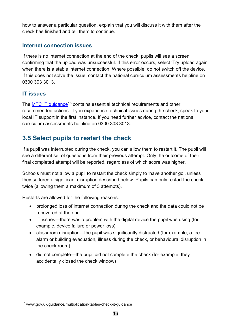how to answer a particular question, explain that you will discuss it with them after the check has finished and tell them to continue.

## **Internet connection issues**

If there is no internet connection at the end of the check, pupils will see a screen confirming that the upload was unsuccessful. If this error occurs, select 'Try upload again' when there is a stable internet connection. Where possible, do not switch off the device. If this does not solve the issue, contact the national curriculum assessments helpline on 0300 303 3013.

## **IT issues**

The [MTC IT guidance](https://www.gov.uk/guidance/multiplication-tables-check-it-guidance)<sup>[15](#page-15-1)</sup> contains essential technical requirements and other recommended actions. If you experience technical issues during the check, speak to your local IT support in the first instance. If you need further advice, contact the national curriculum assessments helpline on 0300 303 3013.

# <span id="page-15-0"></span>**3.5 Select pupils to restart the check**

If a pupil was interrupted during the check, you can allow them to restart it. The pupil will see a different set of questions from their previous attempt. Only the outcome of their final completed attempt will be reported, regardless of which score was higher.

Schools must not allow a pupil to restart the check simply to 'have another go', unless they suffered a significant disruption described below. Pupils can only restart the check twice (allowing them a maximum of 3 attempts).

Restarts are allowed for the following reasons:

- prolonged loss of internet connection during the check and the data could not be recovered at the end
- IT issues—there was a problem with the digital device the pupil was using (for example, device failure or power loss)
- classroom disruption—the pupil was significantly distracted (for example, a fire alarm or building evacuation, illness during the check, or behavioural disruption in the check room)
- did not complete—the pupil did not complete the check (for example, they accidentally closed the check window)

<span id="page-15-1"></span><sup>15</sup> www.gov.uk/guidance/multiplication-tables-check-it-guidance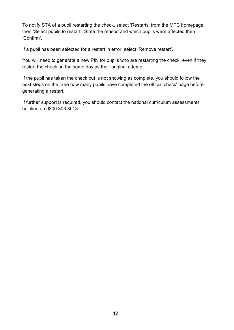To notify STA of a pupil restarting the check, select 'Restarts' from the MTC homepage, then 'Select pupils to restart'. State the reason and which pupils were affected then 'Confirm'.

If a pupil has been selected for a restart in error, select 'Remove restart'.

You will need to generate a new PIN for pupils who are restarting the check, even if they restart the check on the same day as their original attempt.

If the pupil has taken the check but is not showing as complete, you should follow the next steps on the 'See how many pupils have completed the official check' page before generating a restart.

If further support is required, you should contact the national curriculum assessments helpline on 0300 303 3013.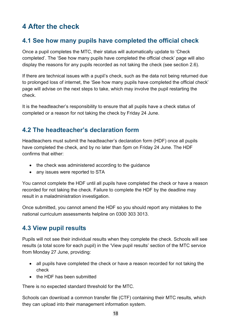# <span id="page-17-0"></span>**4 After the check**

## <span id="page-17-1"></span>**4.1 See how many pupils have completed the official check**

Once a pupil completes the MTC, their status will automatically update to 'Check completed'. The 'See how many pupils have completed the official check' page will also display the reasons for any pupils recorded as not taking the check (see section 2.6).

If there are technical issues with a pupil's check, such as the data not being returned due to prolonged loss of internet, the 'See how many pupils have completed the official check' page will advise on the next steps to take, which may involve the pupil restarting the check.

It is the headteacher's responsibility to ensure that all pupils have a check status of completed or a reason for not taking the check by Friday 24 June.

## <span id="page-17-2"></span>**4.2 The headteacher's declaration form**

Headteachers must submit the headteacher's declaration form (HDF) once all pupils have completed the check, and by no later than 5pm on Friday 24 June. The HDF confirms that either:

- the check was administered according to the guidance
- any issues were reported to STA

You cannot complete the HDF until all pupils have completed the check or have a reason recorded for not taking the check. Failure to complete the HDF by the deadline may result in a maladministration investigation.

Once submitted, you cannot amend the HDF so you should report any mistakes to the national curriculum assessments helpline on 0300 303 3013.

## <span id="page-17-3"></span>**4.3 View pupil results**

Pupils will not see their individual results when they complete the check. Schools will see results (a total score for each pupil) in the 'View pupil results' section of the MTC service from Monday 27 June, providing:

- all pupils have completed the check or have a reason recorded for not taking the check
- the HDF has been submitted

There is no expected standard threshold for the MTC.

Schools can download a common transfer file (CTF) containing their MTC results, which they can upload into their management information system.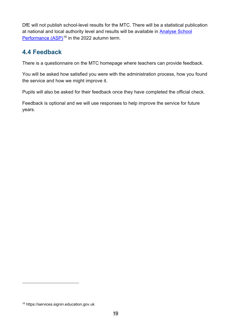DfE will not publish school-level results for the MTC. There will be a statistical publication at national and local authority level and results will be available in [Analyse School](https://services.signin.education.gov.uk/)  [Performance](https://services.signin.education.gov.uk/) (ASP)<sup>[16](#page-18-1)</sup> in the 2022 autumn term.

# <span id="page-18-0"></span>**4.4 Feedback**

There is a questionnaire on the MTC homepage where teachers can provide feedback.

You will be asked how satisfied you were with the administration process, how you found the service and how we might improve it.

Pupils will also be asked for their feedback once they have completed the official check.

Feedback is optional and we will use responses to help improve the service for future years.

<span id="page-18-1"></span><sup>16</sup> https://services.signin.education.gov.uk